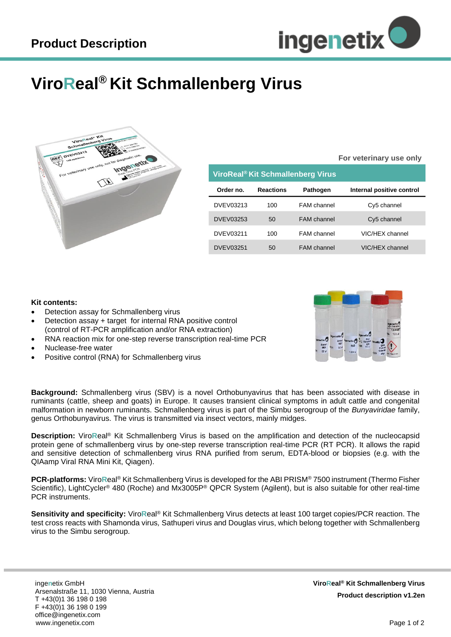

## **ViroReal® Kit Schmallenberg Virus**



|                                   |                  |                    | For veterinary use only   |
|-----------------------------------|------------------|--------------------|---------------------------|
| ViroReal® Kit Schmallenberg Virus |                  |                    |                           |
| Order no.                         | <b>Reactions</b> | <b>Pathogen</b>    | Internal positive control |
| DVEV03213                         | 100              | FAM channel        | Cy5 channel               |
| DVEV03253                         | 50               | <b>FAM</b> channel | Cy5 channel               |
| <b>DVEV03211</b>                  | 100              | FAM channel        | VIC/HEX channel           |
| <b>DVEV03251</b>                  | 50               | <b>FAM</b> channel | VIC/HEX channel           |

## **Kit contents:**

- Detection assay for Schmallenberg virus
- Detection assay + target for internal RNA positive control (control of RT-PCR amplification and/or RNA extraction)
- RNA reaction mix for one-step reverse transcription real-time PCR
- Nuclease-free water
- Positive control (RNA) for Schmallenberg virus



**Background:** Schmallenberg virus (SBV) is a novel Orthobunyavirus that has been associated with disease in ruminants (cattle, sheep and goats) in Europe. It causes transient clinical symptoms in adult cattle and congenital malformation in newborn ruminants. Schmallenberg virus is part of the Simbu serogroup of the *Bunyaviridae* family, genus Orthobunyavirus. The virus is transmitted via insect vectors, mainly midges.

**Description:** Viro**R**eal® Kit Schmallenberg Virus is based on the amplification and detection of the nucleocapsid protein gene of schmallenberg virus by one-step reverse transcription real-time PCR (RT PCR). It allows the rapid and sensitive detection of schmallenberg virus RNA purified from serum, EDTA-blood or biopsies (e.g. with the QIAamp Viral RNA Mini Kit, Qiagen).

**PCR-platforms:** Viro**R**eal® Kit Schmallenberg Virus is developed for the ABI PRISM® 7500 instrument (Thermo Fisher Scientific), LightCycler® 480 (Roche) and Mx3005P® QPCR System (Agilent), but is also suitable for other real-time PCR instruments.

**Sensitivity and specificity:** Viro**R**eal® Kit Schmallenberg Virus detects at least 100 target copies/PCR reaction. The test cross reacts with Shamonda virus*,* Sathuperi virus and Douglas virus, which belong together with Schmallenberg virus to the Simbu serogroup.